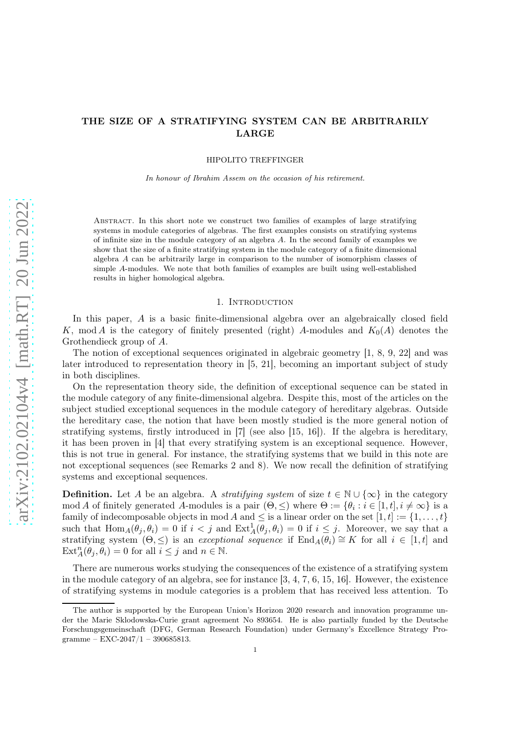# THE SIZE OF A STRATIFYING SYSTEM CAN BE ARBITRARILY LARGE

HIPOLITO TREFFINGER

In honour of Ibrahim Assem on the occasion of his retirement.

Abstract. In this short note we construct two families of examples of large stratifying systems in module categories of algebras. The first examples consists on stratifying systems of infinite size in the module category of an algebra  $A$ . In the second family of examples we show that the size of a finite stratifying system in the module category of a finite dimensional algebra A can be arbitrarily large in comparison to the number of isomorphism classes of simple A-modules. We note that both families of examples are built using well-established results in higher homological algebra.

### 1. INTRODUCTION

In this paper, A is a basic finite-dimensional algebra over an algebraically closed field K, mod A is the category of finitely presented (right) A-modules and  $K_0(A)$  denotes the Grothendieck group of A.

The notion of exceptional sequences originated in algebraic geometry [\[1,](#page-4-0) [8,](#page-4-1) [9,](#page-4-2) [22\]](#page-4-3) and was later introduced to representation theory in [\[5,](#page-4-4) [21\]](#page-4-5), becoming an important subject of study in both disciplines.

On the representation theory side, the definition of exceptional sequence can be stated in the module category of any finite-dimensional algebra. Despite this, most of the articles on the subject studied exceptional sequences in the module category of hereditary algebras. Outside the hereditary case, the notion that have been mostly studied is the more general notion of stratifying systems, firstly introduced in [\[7\]](#page-4-6) (see also [\[15,](#page-4-7) [16\]](#page-4-8)). If the algebra is hereditary, it has been proven in [\[4\]](#page-4-9) that every stratifying system is an exceptional sequence. However, this is not true in general. For instance, the stratifying systems that we build in this note are not exceptional sequences (see Remarks [2](#page-2-0) and [8\)](#page-3-0). We now recall the definition of stratifying systems and exceptional sequences.

**Definition.** Let A be an algebra. A *stratifying system* of size  $t \in \mathbb{N} \cup \{\infty\}$  in the category mod A of finitely generated A-modules is a pair  $(\Theta, \leq)$  where  $\Theta := \{\theta_i : i \in [1, t], i \neq \infty\}$  is a family of indecomposable objects in mod A and  $\leq$  is a linear order on the set  $[1, t] := \{1, \ldots, t\}$ such that  $\text{Hom}_A(\theta_j, \theta_i) = 0$  if  $i < j$  and  $\text{Ext}^1_A(\theta_j, \theta_i) = 0$  if  $i \leq j$ . Moreover, we say that a stratifying system  $(\Theta, \leq)$  is an exceptional sequence if  $\text{End}_A(\theta_i) \cong K$  for all  $i \in [1, t]$  and  $\text{Ext}_{A}^{n}(\theta_{j}, \theta_{i}) = 0$  for all  $i \leq j$  and  $n \in \mathbb{N}$ .

There are numerous works studying the consequences of the existence of a stratifying system in the module category of an algebra, see for instance  $[3, 4, 7, 6, 15, 16]$  $[3, 4, 7, 6, 15, 16]$  $[3, 4, 7, 6, 15, 16]$  $[3, 4, 7, 6, 15, 16]$  $[3, 4, 7, 6, 15, 16]$  $[3, 4, 7, 6, 15, 16]$ . However, the existence of stratifying systems in module categories is a problem that has received less attention. To

The author is supported by the European Union's Horizon 2020 research and innovation programme under the Marie Sklodowska-Curie grant agreement No 893654. He is also partially funded by the Deutsche Forschungsgemeinschaft (DFG, German Research Foundation) under Germany's Excellence Strategy Programme – EXC-2047/1 – 390685813.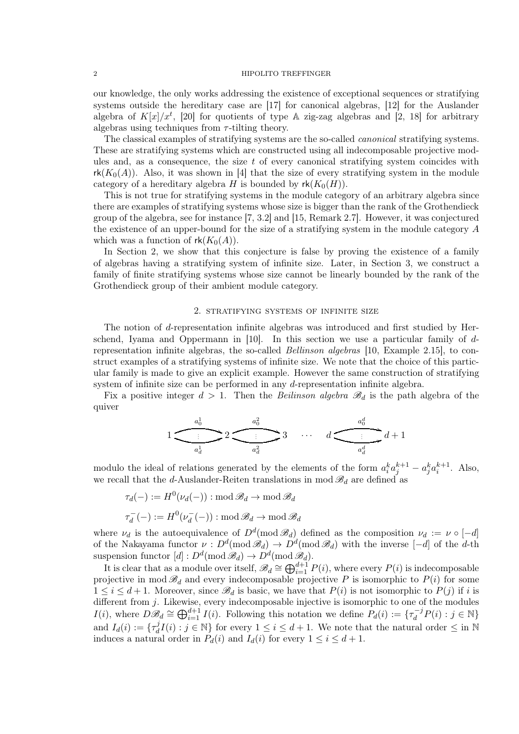## 2 HIPOLITO TREFFINGER

our knowledge, the only works addressing the existence of exceptional sequences or stratifying systems outside the hereditary case are [\[17\]](#page-4-12) for canonical algebras, [\[12\]](#page-4-13) for the Auslander algebra of  $K[x]/x^t$ , [\[20\]](#page-4-14) for quotients of type A zig-zag algebras and [\[2,](#page-4-15) [18\]](#page-4-16) for arbitrary algebras using techniques from  $\tau$ -tilting theory.

The classical examples of stratifying systems are the so-called *canonical* stratifying systems. These are stratifying systems which are constructed using all indecomposable projective modules and, as a consequence, the size  $t$  of every canonical stratifying system coincides with  $rk(K_0(A))$ . Also, it was shown in [\[4\]](#page-4-9) that the size of every stratifying system in the module category of a hereditary algebra H is bounded by  $rk(K_0(H))$ .

This is not true for stratifying systems in the module category of an arbitrary algebra since there are examples of stratifying systems whose size is bigger than the rank of the Grothendieck group of the algebra, see for instance [\[7,](#page-4-6) 3.2] and [\[15,](#page-4-7) Remark 2.7]. However, it was conjectured the existence of an upper-bound for the size of a stratifying system in the module category A which was a function of  $rk(K_0(A))$ .

In Section [2,](#page-1-0) we show that this conjecture is false by proving the existence of a family of algebras having a stratifying system of infinite size. Later, in Section [3,](#page-2-1) we construct a family of finite stratifying systems whose size cannot be linearly bounded by the rank of the Grothendieck group of their ambient module category.

# 2. stratifying systems of infinite size

<span id="page-1-0"></span>The notion of d-representation infinite algebras was introduced and first studied by Herschend, Iyama and Oppermann in  $[10]$ . In this section we use a particular family of drepresentation infinite algebras, the so-called Bellinson algebras [\[10,](#page-4-17) Example 2.15], to construct examples of a stratifying systems of infinite size. We note that the choice of this particular family is made to give an explicit example. However the same construction of stratifying system of infinite size can be performed in any d-representation infinite algebra.

Fix a positive integer  $d > 1$ . Then the Beilinson algebra  $\mathcal{B}_d$  is the path algebra of the quiver

1 a 1 0 . . . ( a 1 d 62 a 2 0 . . . ( a 2 d 63 · · · d a d 0 . . . a d d 3d + 1

modulo the ideal of relations generated by the elements of the form  $a_i^k a_j^{k+1} - a_j^k a_i^{k+1}$ . Also, we recall that the d-Auslander-Reiten translations in mod  $\mathscr{B}_d$  are defined as

 $\tau_d(-):=H^0(\nu_d(-)):\operatorname{mod}\mathscr{B}_d\to \operatorname{mod}\mathscr{B}_d$  $\tau_d^$  $d^-_d(-) := H^0(\nu_d^-)$  $d^-_d(-))$ : mod  $\mathscr{B}_d \to \text{mod } \mathscr{B}_d$ 

where  $\nu_d$  is the autoequivalence of  $D^d \pmod{\mathscr{B}_d}$  defined as the composition  $\nu_d := \nu \circ [-d]$ of the Nakayama functor  $\nu : D^d(\text{mod } \mathscr{B}_d) \to D^d(\text{mod } \mathscr{B}_d)$  with the inverse  $[-d]$  of the d-th suspension functor  $[d]: D^d(\text{mod } \mathcal{B}_d) \to D^d(\text{mod } \mathcal{B}_d).$ 

It is clear that as a module over itself,  $\mathscr{B}_d \cong \bigoplus_{i=1}^{d+1} P(i)$ , where every  $P(i)$  is indecomposable projective in mod  $\mathscr{B}_d$  and every indecomposable projective P is isomorphic to  $P(i)$  for some  $1 \leq i \leq d+1$ . Moreover, since  $\mathscr{B}_d$  is basic, we have that  $P(i)$  is not isomorphic to  $P(j)$  if i is different from j. Likewise, every indecomposable injective is isomorphic to one of the modules  $I(i)$ , where  $D\mathscr{B}_d \cong \bigoplus_{i=1}^{d+1} I(i)$ . Following this notation we define  $P_d(i) := \{ \tau_d^{-j} P(i) : j \in \mathbb{N} \}$ and  $I_d(i) := \{\tau_d^j\}$  $dI_i(I)$ :  $j \in \mathbb{N}$  for every  $1 \leq i \leq d+1$ . We note that the natural order  $\leq$  in  $\mathbb{N}$ induces a natural order in  $P_d(i)$  and  $I_d(i)$  for every  $1 \leq i \leq d+1$ .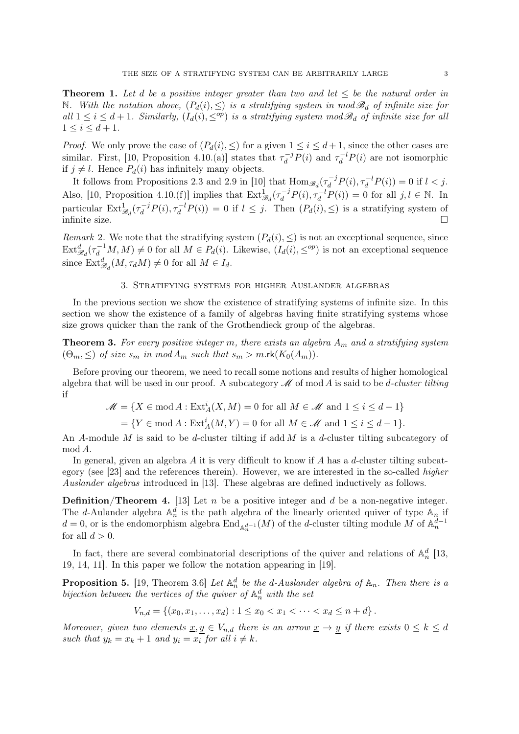**Theorem 1.** Let d be a positive integer greater than two and let  $\leq$  be the natural order in N. With the notation above,  $(P_d(i), \leq)$  is a stratifying system in mod  $\mathscr{B}_d$  of infinite size for all  $1 \leq i \leq d+1$ . Similarly,  $(I_d(i), \leq^{op})$  is a stratifying system mod  $\mathscr{B}_d$  of infinite size for all  $1 \le i \le d+1$ .

*Proof.* We only prove the case of  $(P_d(i), \leq)$  for a given  $1 \leq i \leq d+1$ , since the other cases are similar. First, [\[10,](#page-4-17) Proposition 4.10.(a)] states that  $\tau_d^{-j} P(i)$  and  $\tau_d^{-l} P(i)$  are not isomorphic if  $j \neq l$ . Hence  $P_d(i)$  has infinitely many objects.

It follows from Propositions 2.3 and 2.9 in [\[10\]](#page-4-17) that  $\text{Hom}_{\mathscr{B}_d}(\tau_d^{-j}P(i), \tau_d^{-l}P(i)) = 0$  if  $l < j$ . Also, [\[10,](#page-4-17) Proposition 4.10.(f)] implies that  $\text{Ext}^1_{\mathscr{B}_d}(\tau_d^{-j}P(i), \tau_d^{-l}P(i)) = 0$  for all  $j, l \in \mathbb{N}$ . In particular  $\text{Ext}^1_{\mathscr{B}_d}(\tau_d^{-j}P(i), \tau_d^{-l}P(i)) = 0$  if  $l \leq j$ . Then  $(P_d(i), \leq)$  is a stratifying system of infinite size.  $\Box$ 

<span id="page-2-0"></span>Remark 2. We note that the stratifying system  $(P_d(i), \leq)$  is not an exceptional sequence, since  $\text{Ext}_{\mathscr{B}_d}^d(\tau_d^{-1}M, M) \neq 0$  for all  $M \in P_d(i)$ . Likewise,  $(I_d(i), \leq^{op})$  is not an exceptional sequence since  $\text{Ext}_{\mathscr{B}_d}^d(M, \tau_d M) \neq 0$  for all  $M \in I_d$ .

## 3. Stratifying systems for higher Auslander algebras

<span id="page-2-1"></span>In the previous section we show the existence of stratifying systems of infinite size. In this section we show the existence of a family of algebras having finite stratifying systems whose size grows quicker than the rank of the Grothendieck group of the algebras.

<span id="page-2-2"></span>**Theorem 3.** For every positive integer m, there exists an algebra  $A_m$  and a stratifying system  $(\Theta_m, \leq)$  of size  $s_m$  in mod  $A_m$  such that  $s_m > m$ .rk $(K_0(A_m))$ .

Before proving our theorem, we need to recall some notions and results of higher homological algebra that will be used in our proof. A subcategory  $\mathscr M$  of mod A is said to be d-cluster tilting if

$$
\mathcal{M} = \{ X \in \text{mod}\,A : \text{Ext}^i_A(X, M) = 0 \text{ for all } M \in \mathcal{M} \text{ and } 1 \le i \le d - 1 \}
$$

 $=\{Y \in \text{mod } A : \text{Ext}_{A}^{i}(M, Y) = 0 \text{ for all } M \in \mathcal{M} \text{ and } 1 \leq i \leq d-1\}.$ 

An A-module M is said to be d-cluster tilting if add M is a d-cluster tilting subcategory of mod A.

In general, given an algebra A it is very difficult to know if A has a d-cluster tilting subcategory (see [\[23\]](#page-4-18) and the references therein). However, we are interested in the so-called higher Auslander algebras introduced in [\[13\]](#page-4-19). These algebras are defined inductively as follows.

<span id="page-2-3"></span>**Definition/Theorem 4.** [\[13\]](#page-4-19) Let  $n$  be a positive integer and  $d$  be a non-negative integer. The d-Aulander algebra  $\mathbb{A}_n^d$  is the path algebra of the linearly oriented quiver of type  $\mathbb{A}_n$  if  $d=0$ , or is the endomorphism algebra  $\text{End}_{\mathbb{A}_n^{d-1}}(M)$  of the d-cluster tilting module M of  $\mathbb{A}_n^{\tilde{d}-1}$ for all  $d > 0$ .

In fact, there are several combinatorial descriptions of the quiver and relations of  $\mathbb{A}_n^d$  [\[13,](#page-4-19) [19,](#page-4-20) [14,](#page-4-21) [11\]](#page-4-22). In this paper we follow the notation appearing in [\[19\]](#page-4-20).

<span id="page-2-4"></span>**Proposition 5.** [\[19,](#page-4-20) Theorem 3.6] Let  $\mathbb{A}_n^d$  be the d-Auslander algebra of  $\mathbb{A}_n$ . Then there is a bijection between the vertices of the quiver of  $\mathbb{A}_n^d$  with the set

$$
V_{n,d} = \left\{ (x_0, x_1, \dots, x_d) : 1 \le x_0 < x_1 < \dots < x_d \le n + d \right\}.
$$

Moreover, given two elements  $\underline{x}, y \in V_{n,d}$  there is an arrow  $\underline{x} \to y$  if there exists  $0 \leq k \leq d$ such that  $y_k = x_k + 1$  and  $y_i = x_i$  for all  $i \neq k$ .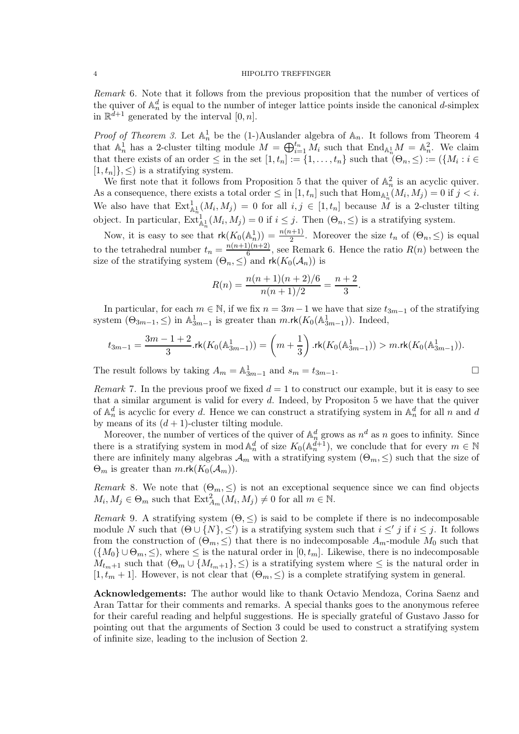<span id="page-3-1"></span>Remark 6. Note that it follows from the previous proposition that the number of vertices of the quiver of  $\mathbb{A}_n^d$  is equal to the number of integer lattice points inside the canonical d-simplex in  $\mathbb{R}^{d+1}$  generated by the interval  $[0, n]$ .

*Proof of Theorem [3.](#page-2-2)* Let  $\mathbb{A}_n^1$  be the (1-)Auslander algebra of  $\mathbb{A}_n$ . It follows from Theorem [4](#page-2-3) that  $\mathbb{A}_n^1$  has a 2-cluster tilting module  $M = \bigoplus_{i=1}^{t_n} M_i$  such that  $\text{End}_{\mathbb{A}_n^1} M = \mathbb{A}_n^2$ . We claim that there exists of an order  $\leq$  in the set  $[1, t_n] := \{1, \ldots, t_n\}$  such that  $(\Theta_n, \leq) := (\{M_i : i \in$  $[1, t_n]$ ,  $\leq$ ) is a stratifying system.

We first note that it follows from Proposition [5](#page-2-4) that the quiver of  $\mathbb{A}_n^2$  is an acyclic quiver. As a consequence, there exists a total order  $\leq$  in  $[1, t_n]$  such that  $\text{Hom}_{\mathbb{A}^1_n}(M_i, M_j) = 0$  if  $j < i$ . We also have that  $\text{Ext}^1_{\mathbb{A}^1_n}(M_i, M_j) = 0$  for all  $i, j \in [1, t_n]$  because M is a 2-cluster tilting object. In particular,  $\text{Ext}_{\mathbb{A}_n^1}^1(M_i, M_j) = 0$  if  $i \leq j$ . Then  $(\Theta_n, \leq)$  is a stratifying system.

Now, it is easy to see that  $\mathsf{rk}(K_0(\mathbb{A}_n^1)) = \frac{n(n+1)}{2}$ . Moreover the size  $t_n$  of  $(\Theta_n, \leq)$  is equal to the tetrahedral number  $t_n = \frac{n(n+1)(n+2)}{6}$  $\frac{f(n+2)}{6}$ , see Remark [6.](#page-3-1) Hence the ratio  $R(n)$  between the size of the stratifying system  $(\Theta_n, \leq)$  and  $\mathsf{rk}(K_0(\mathcal{A}_n))$  is

$$
R(n) = \frac{n(n+1)(n+2)/6}{n(n+1)/2} = \frac{n+2}{3}.
$$

In particular, for each  $m \in \mathbb{N}$ , if we fix  $n = 3m - 1$  we have that size  $t_{3m-1}$  of the stratifying system  $(\Theta_{3m-1}, \leq)$  in  $\mathbb{A}^1_{3m-1}$  is greater than  $m.\mathsf{rk}(K_0(\mathbb{A}^1_{3m-1}))$ . Indeed,

$$
t_{3m-1}=\frac{3m-1+2}{3}.{\rm rk}(K_0(\mathbb{A}^1_{3m-1}))=\left(m+\frac{1}{3}\right).{\rm rk}(K_0(\mathbb{A}^1_{3m-1}))>m.{\rm rk}(K_0(\mathbb{A}^1_{3m-1})).
$$

The result follows by taking  $A_m = \mathbb{A}^1_{3m-1}$  and  $s_m = t_{3m-1}$ .

Remark 7. In the previous proof we fixed  $d = 1$  to construct our example, but it is easy to see that a similar argument is valid for every  $d$ . Indeed, by Propositon [5](#page-2-4) we have that the quiver of  $\mathbb{A}_n^d$  is acyclic for every d. Hence we can construct a stratifying system in  $\mathbb{A}_n^d$  for all n and d by means of its  $(d+1)$ -cluster tilting module.

Moreover, the number of vertices of the quiver of  $\mathbb{A}_n^d$  grows as  $n^d$  as n goes to infinity. Since there is a stratifying system in mod  $\mathbb{A}_n^d$  of size  $K_0(\mathbb{A}_n^{\tilde{d}+1})$ , we conclude that for every  $m \in \mathbb{N}$ there are infinitely many algebras  $\mathcal{A}_m$  with a stratifying system  $(\Theta_m, \leq)$  such that the size of  $\Theta_m$  is greater than  $m.rk(K_0(\mathcal{A}_m))$ .

<span id="page-3-0"></span>Remark 8. We note that  $(\Theta_m, \leq)$  is not an exceptional sequence since we can find objects  $M_i, M_j \in \Theta_m$  such that  $\text{Ext}^2_{A_m}(M_i, M_j) \neq 0$  for all  $m \in \mathbb{N}$ .

Remark 9. A stratifying system  $(\Theta, \leq)$  is said to be complete if there is no indecomposable module N such that  $(\Theta \cup \{N\}, \leq')$  is a stratifying system such that  $i \leq' j$  if  $i \leq j$ . It follows from the construction of  $(\Theta_m, \leq)$  that there is no indecomposable  $A_m$ -module  $M_0$  such that  $({M_0}\cup\Theta_m,\leq)$ , where  $\leq$  is the natural order in  $[0,t_m]$ . Likewise, there is no indecomposable  $M_{t_m+1}$  such that  $(\Theta_m \cup \{M_{t_m+1}\}, \leq)$  is a stratifying system where  $\leq$  is the natural order in  $[1, t_m + 1]$ . However, is not clear that  $(\Theta_m, \leq)$  is a complete stratifying system in general.

Acknowledgements: The author would like to thank Octavio Mendoza, Corina Saenz and Aran Tattar for their comments and remarks. A special thanks goes to the anonymous referee for their careful reading and helpful suggestions. He is specially grateful of Gustavo Jasso for pointing out that the arguments of Section [3](#page-2-1) could be used to construct a stratifying system of infinite size, leading to the inclusion of Section [2.](#page-1-0)